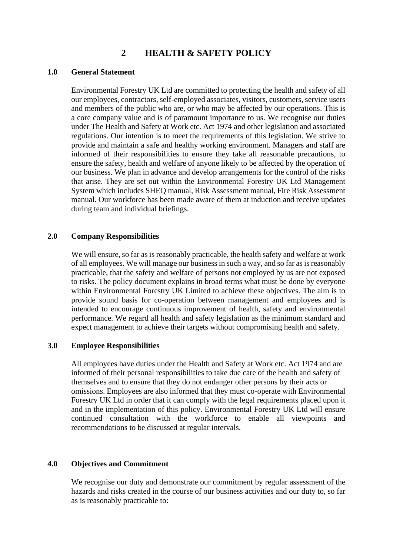# **2 HEALTH & SAFETY POLICY**

### **1.0 General Statement**

Environmental Forestry UK Ltd are committed to protecting the health and safety of all our employees, contractors, self-employed associates, visitors, customers, service users and members of the public who are, or who may be affected by our operations. This is a core company value and is of paramount importance to us. We recognise our duties under The Health and Safety at Work etc. Act 1974 and other legislation and associated regulations. Our intention is to meet the requirements of this legislation. We strive to provide and maintain a safe and healthy working environment. Managers and staff are informed of their responsibilities to ensure they take all reasonable precautions, to ensure the safety, health and welfare of anyone likely to be affected by the operation of our business. We plan in advance and develop arrangements for the control of the risks that arise. They are set out within the Environmental Forestry UK Ltd Management System which includes SHEQ manual, Risk Assessment manual, Fire Risk Assessment manual. Our workforce has been made aware of them at induction and receive updates during team and individual briefings.

### **2.0 Company Responsibilities**

We will ensure, so far as is reasonably practicable, the health safety and welfare at work of all employees. We will manage our business in such a way, and so far as is reasonably practicable, that the safety and welfare of persons not employed by us are not exposed to risks. The policy document explains in broad terms what must be done by everyone within Environmental Forestry UK Limited to achieve these objectives. The aim is to provide sound basis for co-operation between management and employees and is intended to encourage continuous improvement of health, safety and environmental performance. We regard all health and safety legislation as the minimum standard and expect management to achieve their targets without compromising health and safety.

# **3.0 Employee Responsibilities**

All employees have duties under the Health and Safety at Work etc. Act 1974 and are informed of their personal responsibilities to take due care of the health and safety of themselves and to ensure that they do not endanger other persons by their acts or omissions. Employees are also informed that they must co-operate with Environmental Forestry UK Ltd in order that it can comply with the legal requirements placed upon it and in the implementation of this policy. Environmental Forestry UK Ltd will ensure continued consultation with the workforce to enable all viewpoints and recommendations to be discussed at regular intervals.

#### **4.0 Objectives and Commitment**

We recognise our duty and demonstrate our commitment by regular assessment of the hazards and risks created in the course of our business activities and our duty to, so far as is reasonably practicable to: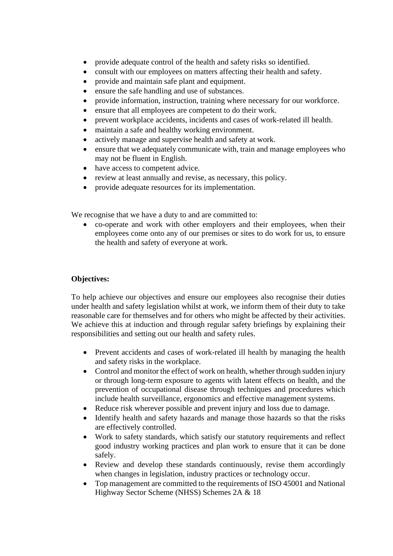- provide adequate control of the health and safety risks so identified.
- consult with our employees on matters affecting their health and safety.
- provide and maintain safe plant and equipment.
- ensure the safe handling and use of substances.
- provide information, instruction, training where necessary for our workforce.
- ensure that all employees are competent to do their work.
- prevent workplace accidents, incidents and cases of work-related ill health.
- maintain a safe and healthy working environment.
- actively manage and supervise health and safety at work.
- ensure that we adequately communicate with, train and manage employees who may not be fluent in English.
- have access to competent advice.
- review at least annually and revise, as necessary, this policy.
- provide adequate resources for its implementation.

We recognise that we have a duty to and are committed to:

• co-operate and work with other employers and their employees, when their employees come onto any of our premises or sites to do work for us, to ensure the health and safety of everyone at work.

# **Objectives:**

To help achieve our objectives and ensure our employees also recognise their duties under health and safety legislation whilst at work, we inform them of their duty to take reasonable care for themselves and for others who might be affected by their activities. We achieve this at induction and through regular safety briefings by explaining their responsibilities and setting out our health and safety rules.

- Prevent accidents and cases of work-related ill health by managing the health and safety risks in the workplace.
- Control and monitor the effect of work on health, whether through sudden injury or through long-term exposure to agents with latent effects on health, and the prevention of occupational disease through techniques and procedures which include health surveillance, ergonomics and effective management systems.
- Reduce risk wherever possible and prevent injury and loss due to damage.
- Identify health and safety hazards and manage those hazards so that the risks are effectively controlled.
- Work to safety standards, which satisfy our statutory requirements and reflect good industry working practices and plan work to ensure that it can be done safely.
- Review and develop these standards continuously, revise them accordingly when changes in legislation, industry practices or technology occur.
- Top management are committed to the requirements of ISO 45001 and National Highway Sector Scheme (NHSS) Schemes 2A & 18